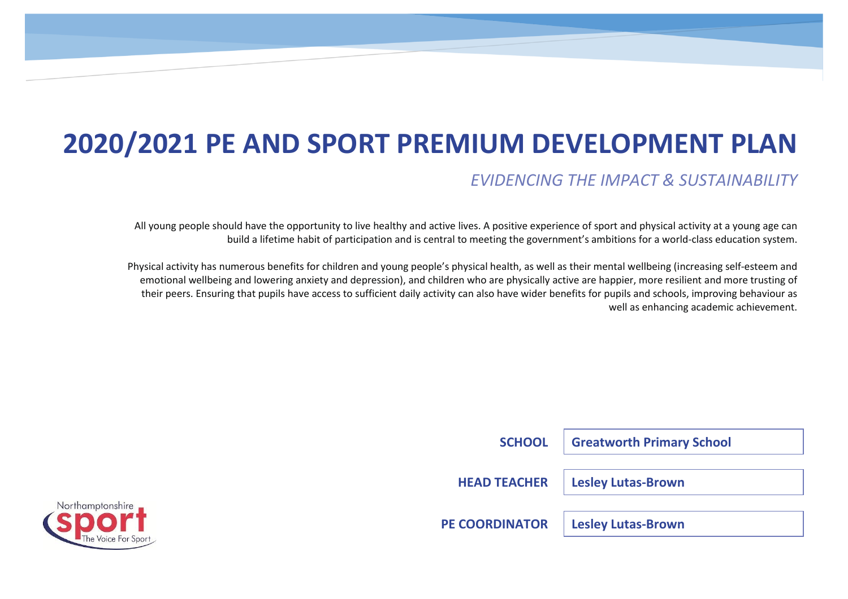# **2020/2021 PE AND SPORT PREMIUM DEVELOPMENT PLAN**

# *EVIDENCING THE IMPACT & SUSTAINABILITY*

All young people should have the opportunity to live healthy and active lives. A positive experience of sport and physical activity at a young age can build a lifetime habit of participation and is central to meeting the government's ambitions for a world-class education system.

Physical activity has numerous benefits for children and young people's physical health, as well as their mental wellbeing (increasing self-esteem and emotional wellbeing and lowering anxiety and depression), and children who are physically active are happier, more resilient and more trusting of their peers. Ensuring that pupils have access to sufficient daily activity can also have wider benefits for pupils and schools, improving behaviour as well as enhancing academic achievement.

| <b>SCHOOL</b>         | <b>Greatworth Primary School</b> |
|-----------------------|----------------------------------|
| <b>HEAD TEACHER</b>   | <b>Lesley Lutas-Brown</b>        |
| <b>PE COORDINATOR</b> | <b>Lesley Lutas-Brown</b>        |

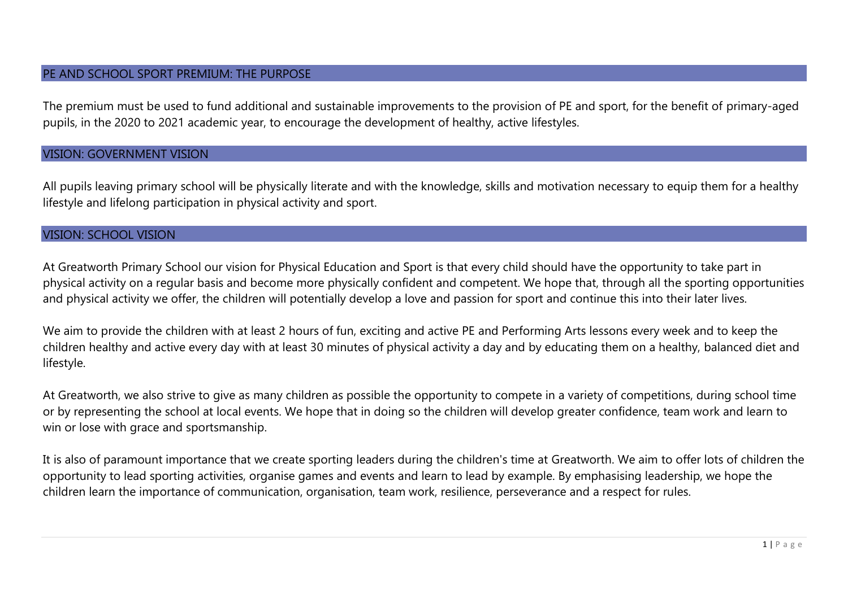#### PE AND SCHOOL SPORT PREMIUM: THE PURPOSE

The premium must be used to fund additional and sustainable improvements to the provision of PE and sport, for the benefit of primary-aged pupils, in the 2020 to 2021 academic year, to encourage the development of healthy, active lifestyles.

#### VISION: GOVERNMENT VISION

All pupils leaving primary school will be physically literate and with the knowledge, skills and motivation necessary to equip them for a healthy lifestyle and lifelong participation in physical activity and sport.

#### VISION: SCHOOL VISION

At Greatworth Primary School our vision for Physical Education and Sport is that every child should have the opportunity to take part in physical activity on a regular basis and become more physically confident and competent. We hope that, through all the sporting opportunities and physical activity we offer, the children will potentially develop a love and passion for sport and continue this into their later lives.

We aim to provide the children with at least 2 hours of fun, exciting and active PE and Performing Arts lessons every week and to keep the children healthy and active every day with at least 30 minutes of physical activity a day and by educating them on a healthy, balanced diet and lifestyle.

At Greatworth, we also strive to give as many children as possible the opportunity to compete in a variety of competitions, during school time or by representing the school at local events. We hope that in doing so the children will develop greater confidence, team work and learn to win or lose with grace and sportsmanship.

It is also of paramount importance that we create sporting leaders during the children's time at Greatworth. We aim to offer lots of children the opportunity to lead sporting activities, organise games and events and learn to lead by example. By emphasising leadership, we hope the children learn the importance of communication, organisation, team work, resilience, perseverance and a respect for rules.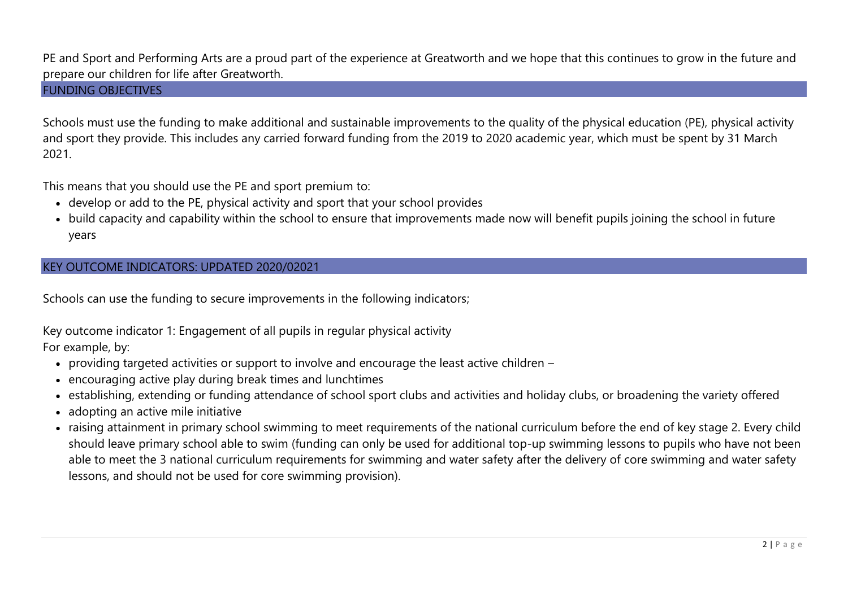#### PE and Sport and Performing Arts are a proud part of the experience at Greatworth and we hope that this continues to grow in the future and prepare our children for life after Greatworth.

#### FUNDING OBJECTIVES

Schools must use the funding to make additional and sustainable improvements to the quality of the physical education (PE), physical activity and sport they provide. This includes any carried forward funding from the 2019 to 2020 academic year, which must be spent by 31 March 2021.

This means that you should use the PE and sport premium to:

- develop or add to the PE, physical activity and sport that your school provides
- build capacity and capability within the school to ensure that improvements made now will benefit pupils joining the school in future years

#### KEY OUTCOME INDICATORS: UPDATED 2020/02021

Schools can use the funding to secure improvements in the following indicators;

Key outcome indicator 1: Engagement of all pupils in regular physical activity For example, by:

- providing targeted activities or support to involve and encourage the least active children –
- encouraging active play during break times and lunchtimes
- establishing, extending or funding attendance of school sport clubs and activities and holiday clubs, or broadening the variety offered
- adopting an active mile initiative
- raising attainment in primary school swimming to meet requirements of the national curriculum before the end of key stage 2. Every child should leave primary school able to swim (funding can only be used for additional top-up swimming lessons to pupils who have not been able to meet the 3 national curriculum requirements for swimming and water safety after the delivery of core swimming and water safety lessons, and should not be used for core swimming provision).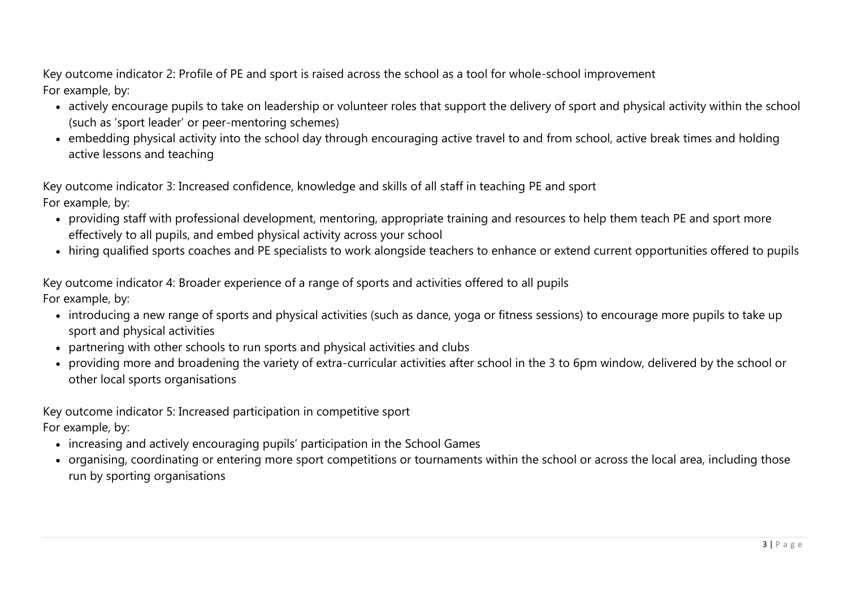Key outcome indicator 2: Profile of PE and sport is raised across the school as a tool for whole-school improvement For example, by:

- actively encourage pupils to take on leadership or volunteer roles that support the delivery of sport and physical activity within the school (such as 'sport leader' or peer-mentoring schemes)
- embedding physical activity into the school day through encouraging active travel to and from school, active break times and holding active lessons and teaching

Key outcome indicator 3: Increased confidence, knowledge and skills of all staff in teaching PE and sport For example, by:

- providing staff with professional development, mentoring, appropriate training and resources to help them teach PE and sport more effectively to all pupils, and embed physical activity across your school
- hiring qualified sports coaches and PE specialists to work alongside teachers to enhance or extend current opportunities offered to pupils

Key outcome indicator 4: Broader experience of a range of sports and activities offered to all pupils For example, by:

- introducing a new range of sports and physical activities (such as dance, yoga or fitness sessions) to encourage more pupils to take up sport and physical activities
- partnering with other schools to run sports and physical activities and clubs
- providing more and broadening the variety of extra-curricular activities after school in the 3 to 6pm window, delivered by the school or other local sports organisations

Key outcome indicator 5: Increased participation in competitive sport For example, by:

- increasing and actively encouraging pupils' participation in the School Games
- organising, coordinating or entering more sport competitions or tournaments within the school or across the local area, including those run by sporting organisations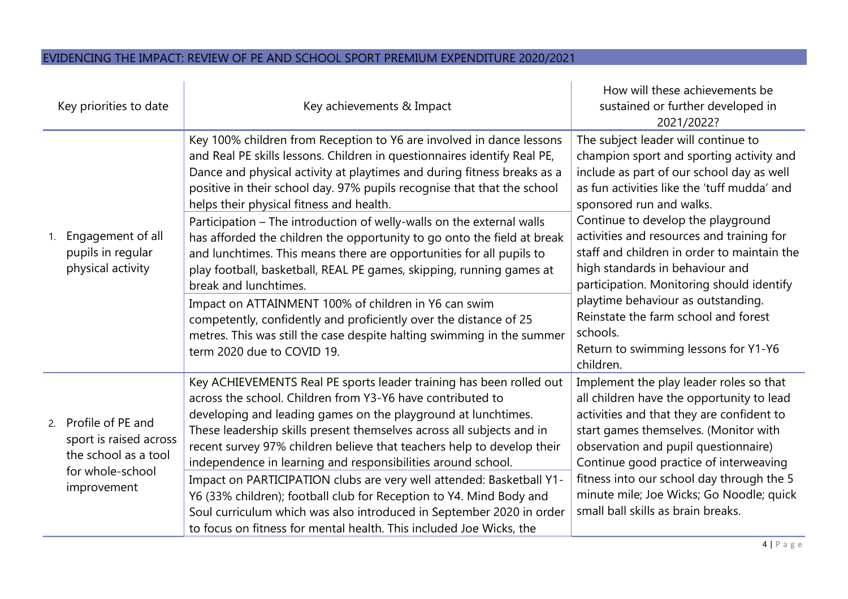## EVIDENCING THE IMPACT: REVIEW OF PE AND SCHOOL SPORT PREMIUM EXPENDITURE 2020/2021

| Key priorities to date |                                                                                                           | Key achievements & Impact                                                                                                                                                                                                                                                                                                                                                                                                                                                                                                                                                                                                                                                                                                                                                                                                                                                                                            | How will these achievements be<br>sustained or further developed in<br>2021/2022?                                                                                                                                                                                                                                                                                                                                                                                                                                                                                        |  |
|------------------------|-----------------------------------------------------------------------------------------------------------|----------------------------------------------------------------------------------------------------------------------------------------------------------------------------------------------------------------------------------------------------------------------------------------------------------------------------------------------------------------------------------------------------------------------------------------------------------------------------------------------------------------------------------------------------------------------------------------------------------------------------------------------------------------------------------------------------------------------------------------------------------------------------------------------------------------------------------------------------------------------------------------------------------------------|--------------------------------------------------------------------------------------------------------------------------------------------------------------------------------------------------------------------------------------------------------------------------------------------------------------------------------------------------------------------------------------------------------------------------------------------------------------------------------------------------------------------------------------------------------------------------|--|
|                        | Engagement of all<br>pupils in regular<br>physical activity                                               | Key 100% children from Reception to Y6 are involved in dance lessons<br>and Real PE skills lessons. Children in questionnaires identify Real PE,<br>Dance and physical activity at playtimes and during fitness breaks as a<br>positive in their school day. 97% pupils recognise that that the school<br>helps their physical fitness and health.<br>Participation - The introduction of welly-walls on the external walls<br>has afforded the children the opportunity to go onto the field at break<br>and lunchtimes. This means there are opportunities for all pupils to<br>play football, basketball, REAL PE games, skipping, running games at<br>break and lunchtimes.<br>Impact on ATTAINMENT 100% of children in Y6 can swim<br>competently, confidently and proficiently over the distance of 25<br>metres. This was still the case despite halting swimming in the summer<br>term 2020 due to COVID 19. | The subject leader will continue to<br>champion sport and sporting activity and<br>include as part of our school day as well<br>as fun activities like the 'tuff mudda' and<br>sponsored run and walks.<br>Continue to develop the playground<br>activities and resources and training for<br>staff and children in order to maintain the<br>high standards in behaviour and<br>participation. Monitoring should identify<br>playtime behaviour as outstanding.<br>Reinstate the farm school and forest<br>schools.<br>Return to swimming lessons for Y1-Y6<br>children. |  |
|                        | 2. Profile of PE and<br>sport is raised across<br>the school as a tool<br>for whole-school<br>improvement | Key ACHIEVEMENTS Real PE sports leader training has been rolled out<br>across the school. Children from Y3-Y6 have contributed to<br>developing and leading games on the playground at lunchtimes.<br>These leadership skills present themselves across all subjects and in<br>recent survey 97% children believe that teachers help to develop their<br>independence in learning and responsibilities around school.<br>Impact on PARTICIPATION clubs are very well attended: Basketball Y1-<br>Y6 (33% children); football club for Reception to Y4. Mind Body and<br>Soul curriculum which was also introduced in September 2020 in order<br>to focus on fitness for mental health. This included Joe Wicks, the                                                                                                                                                                                                  | Implement the play leader roles so that<br>all children have the opportunity to lead<br>activities and that they are confident to<br>start games themselves. (Monitor with<br>observation and pupil questionnaire)<br>Continue good practice of interweaving<br>fitness into our school day through the 5<br>minute mile; Joe Wicks; Go Noodle; quick<br>small ball skills as brain breaks.                                                                                                                                                                              |  |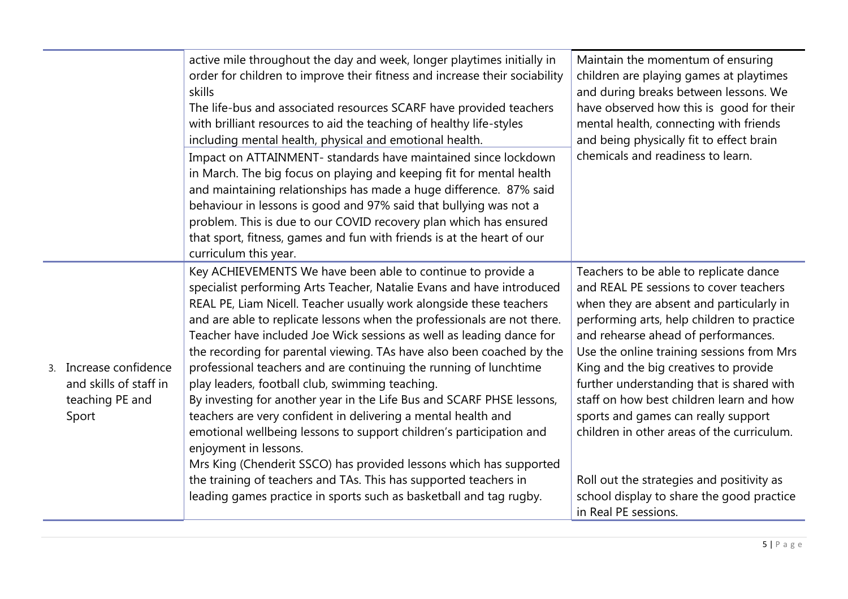|                                                                              | active mile throughout the day and week, longer playtimes initially in<br>order for children to improve their fitness and increase their sociability<br>skills<br>The life-bus and associated resources SCARF have provided teachers<br>with brilliant resources to aid the teaching of healthy life-styles<br>including mental health, physical and emotional health.<br>Impact on ATTAINMENT- standards have maintained since lockdown<br>in March. The big focus on playing and keeping fit for mental health<br>and maintaining relationships has made a huge difference. 87% said<br>behaviour in lessons is good and 97% said that bullying was not a<br>problem. This is due to our COVID recovery plan which has ensured<br>that sport, fitness, games and fun with friends is at the heart of our<br>curriculum this year.                                                                                                                                                                                       | Maintain the momentum of ensuring<br>children are playing games at playtimes<br>and during breaks between lessons. We<br>have observed how this is good for their<br>mental health, connecting with friends<br>and being physically fit to effect brain<br>chemicals and readiness to learn.                                                                                                                                                                                                                                                                                                            |  |
|------------------------------------------------------------------------------|---------------------------------------------------------------------------------------------------------------------------------------------------------------------------------------------------------------------------------------------------------------------------------------------------------------------------------------------------------------------------------------------------------------------------------------------------------------------------------------------------------------------------------------------------------------------------------------------------------------------------------------------------------------------------------------------------------------------------------------------------------------------------------------------------------------------------------------------------------------------------------------------------------------------------------------------------------------------------------------------------------------------------|---------------------------------------------------------------------------------------------------------------------------------------------------------------------------------------------------------------------------------------------------------------------------------------------------------------------------------------------------------------------------------------------------------------------------------------------------------------------------------------------------------------------------------------------------------------------------------------------------------|--|
| 3. Increase confidence<br>and skills of staff in<br>teaching PE and<br>Sport | Key ACHIEVEMENTS We have been able to continue to provide a<br>specialist performing Arts Teacher, Natalie Evans and have introduced<br>REAL PE, Liam Nicell. Teacher usually work alongside these teachers<br>and are able to replicate lessons when the professionals are not there.<br>Teacher have included Joe Wick sessions as well as leading dance for<br>the recording for parental viewing. TAs have also been coached by the<br>professional teachers and are continuing the running of lunchtime<br>play leaders, football club, swimming teaching.<br>By investing for another year in the Life Bus and SCARF PHSE lessons,<br>teachers are very confident in delivering a mental health and<br>emotional wellbeing lessons to support children's participation and<br>enjoyment in lessons.<br>Mrs King (Chenderit SSCO) has provided lessons which has supported<br>the training of teachers and TAs. This has supported teachers in<br>leading games practice in sports such as basketball and tag rugby. | Teachers to be able to replicate dance<br>and REAL PE sessions to cover teachers<br>when they are absent and particularly in<br>performing arts, help children to practice<br>and rehearse ahead of performances.<br>Use the online training sessions from Mrs<br>King and the big creatives to provide<br>further understanding that is shared with<br>staff on how best children learn and how<br>sports and games can really support<br>children in other areas of the curriculum.<br>Roll out the strategies and positivity as<br>school display to share the good practice<br>in Real PE sessions. |  |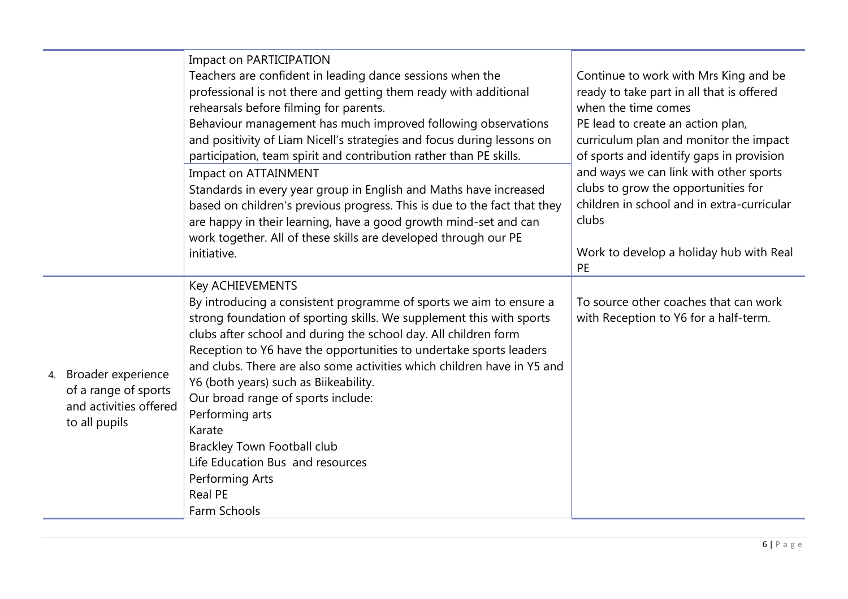|    |                        | Impact on PARTICIPATION                                                  |                                            |
|----|------------------------|--------------------------------------------------------------------------|--------------------------------------------|
|    |                        | Teachers are confident in leading dance sessions when the                | Continue to work with Mrs King and be      |
|    |                        | professional is not there and getting them ready with additional         | ready to take part in all that is offered  |
|    |                        | rehearsals before filming for parents.                                   | when the time comes                        |
|    |                        | Behaviour management has much improved following observations            | PE lead to create an action plan,          |
|    |                        | and positivity of Liam Nicell's strategies and focus during lessons on   | curriculum plan and monitor the impact     |
|    |                        | participation, team spirit and contribution rather than PE skills.       | of sports and identify gaps in provision   |
|    |                        | Impact on ATTAINMENT                                                     | and ways we can link with other sports     |
|    |                        | Standards in every year group in English and Maths have increased        | clubs to grow the opportunities for        |
|    |                        | based on children's previous progress. This is due to the fact that they | children in school and in extra-curricular |
|    |                        | are happy in their learning, have a good growth mind-set and can         | clubs                                      |
|    |                        | work together. All of these skills are developed through our PE          |                                            |
|    |                        | initiative.                                                              | Work to develop a holiday hub with Real    |
|    |                        |                                                                          | PE                                         |
|    |                        | <b>Key ACHIEVEMENTS</b>                                                  |                                            |
|    |                        | By introducing a consistent programme of sports we aim to ensure a       | To source other coaches that can work      |
|    |                        | strong foundation of sporting skills. We supplement this with sports     | with Reception to Y6 for a half-term.      |
|    |                        | clubs after school and during the school day. All children form          |                                            |
|    |                        | Reception to Y6 have the opportunities to undertake sports leaders       |                                            |
| 4. | Broader experience     | and clubs. There are also some activities which children have in Y5 and  |                                            |
|    | of a range of sports   | Y6 (both years) such as Biikeability.                                    |                                            |
|    | and activities offered | Our broad range of sports include:                                       |                                            |
|    | to all pupils          | Performing arts<br>Karate                                                |                                            |
|    |                        |                                                                          |                                            |
|    |                        | Brackley Town Football club<br>Life Education Bus and resources          |                                            |
|    |                        | Performing Arts                                                          |                                            |
|    |                        | <b>Real PE</b>                                                           |                                            |
|    |                        | Farm Schools                                                             |                                            |
|    |                        |                                                                          |                                            |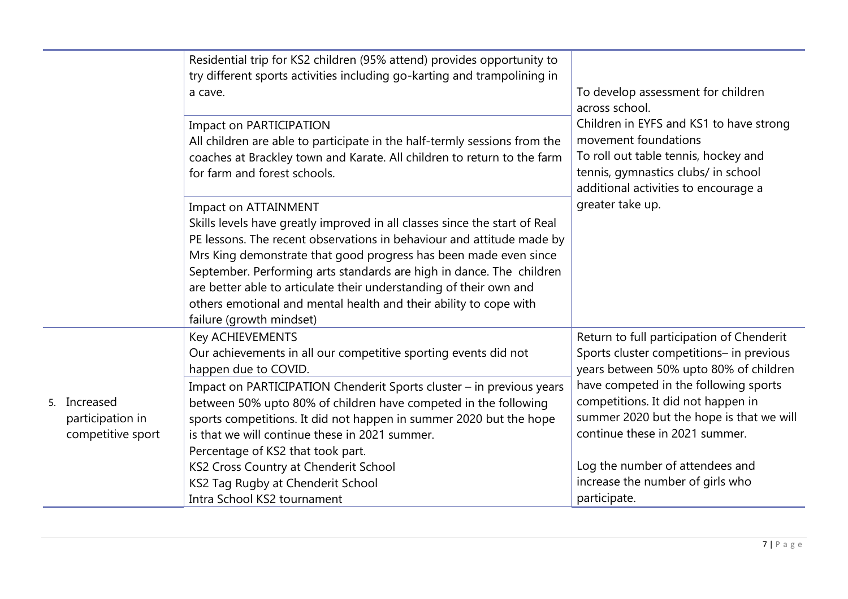|                                                       | Residential trip for KS2 children (95% attend) provides opportunity to<br>try different sports activities including go-karting and trampolining in<br>a cave.                                                                                                                                                                                                                                                                                                                                  | To develop assessment for children<br>across school.                                                                                                                                   |
|-------------------------------------------------------|------------------------------------------------------------------------------------------------------------------------------------------------------------------------------------------------------------------------------------------------------------------------------------------------------------------------------------------------------------------------------------------------------------------------------------------------------------------------------------------------|----------------------------------------------------------------------------------------------------------------------------------------------------------------------------------------|
|                                                       | <b>Impact on PARTICIPATION</b><br>All children are able to participate in the half-termly sessions from the<br>coaches at Brackley town and Karate. All children to return to the farm<br>for farm and forest schools.                                                                                                                                                                                                                                                                         | Children in EYFS and KS1 to have strong<br>movement foundations<br>To roll out table tennis, hockey and<br>tennis, gymnastics clubs/ in school<br>additional activities to encourage a |
|                                                       | Impact on ATTAINMENT<br>Skills levels have greatly improved in all classes since the start of Real<br>PE lessons. The recent observations in behaviour and attitude made by<br>Mrs King demonstrate that good progress has been made even since<br>September. Performing arts standards are high in dance. The children<br>are better able to articulate their understanding of their own and<br>others emotional and mental health and their ability to cope with<br>failure (growth mindset) | greater take up.                                                                                                                                                                       |
|                                                       | Key ACHIEVEMENTS<br>Our achievements in all our competitive sporting events did not<br>happen due to COVID.                                                                                                                                                                                                                                                                                                                                                                                    | Return to full participation of Chenderit<br>Sports cluster competitions- in previous<br>years between 50% upto 80% of children                                                        |
| 5. Increased<br>participation in<br>competitive sport | Impact on PARTICIPATION Chenderit Sports cluster - in previous years<br>between 50% upto 80% of children have competed in the following<br>sports competitions. It did not happen in summer 2020 but the hope<br>is that we will continue these in 2021 summer.<br>Percentage of KS2 that took part.                                                                                                                                                                                           | have competed in the following sports<br>competitions. It did not happen in<br>summer 2020 but the hope is that we will<br>continue these in 2021 summer.                              |
|                                                       | KS2 Cross Country at Chenderit School<br>KS2 Tag Rugby at Chenderit School<br>Intra School KS2 tournament                                                                                                                                                                                                                                                                                                                                                                                      | Log the number of attendees and<br>increase the number of girls who<br>participate.                                                                                                    |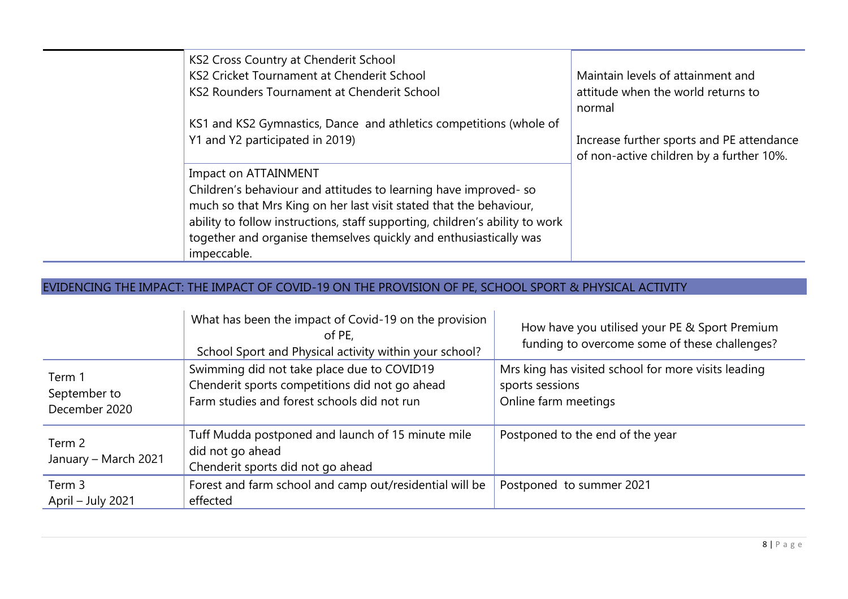| KS2 Cross Country at Chenderit School                                        |                                           |
|------------------------------------------------------------------------------|-------------------------------------------|
|                                                                              |                                           |
| KS2 Cricket Tournament at Chenderit School                                   | Maintain levels of attainment and         |
| KS2 Rounders Tournament at Chenderit School                                  | attitude when the world returns to        |
|                                                                              | normal                                    |
| KS1 and KS2 Gymnastics, Dance and athletics competitions (whole of           |                                           |
| Y1 and Y2 participated in 2019)                                              | Increase further sports and PE attendance |
|                                                                              | of non-active children by a further 10%.  |
| Impact on ATTAINMENT                                                         |                                           |
| Children's behaviour and attitudes to learning have improved-so              |                                           |
| much so that Mrs King on her last visit stated that the behaviour,           |                                           |
| ability to follow instructions, staff supporting, children's ability to work |                                           |
| together and organise themselves quickly and enthusiastically was            |                                           |
|                                                                              |                                           |
| impeccable.                                                                  |                                           |

## EVIDENCING THE IMPACT: THE IMPACT OF COVID-19 ON THE PROVISION OF PE, SCHOOL SPORT & PHYSICAL ACTIVITY

|                                         | What has been the impact of Covid-19 on the provision<br>of PE.<br>School Sport and Physical activity within your school?                   | How have you utilised your PE & Sport Premium<br>funding to overcome some of these challenges? |
|-----------------------------------------|---------------------------------------------------------------------------------------------------------------------------------------------|------------------------------------------------------------------------------------------------|
| Term 1<br>September to<br>December 2020 | Swimming did not take place due to COVID19<br>Chenderit sports competitions did not go ahead<br>Farm studies and forest schools did not run | Mrs king has visited school for more visits leading<br>sports sessions<br>Online farm meetings |
| Term 2<br>January - March 2021          | Tuff Mudda postponed and launch of 15 minute mile<br>did not go ahead<br>Chenderit sports did not go ahead                                  | Postponed to the end of the year                                                               |
| Term 3<br>April – July 2021             | Forest and farm school and camp out/residential will be<br>effected                                                                         | Postponed to summer 2021                                                                       |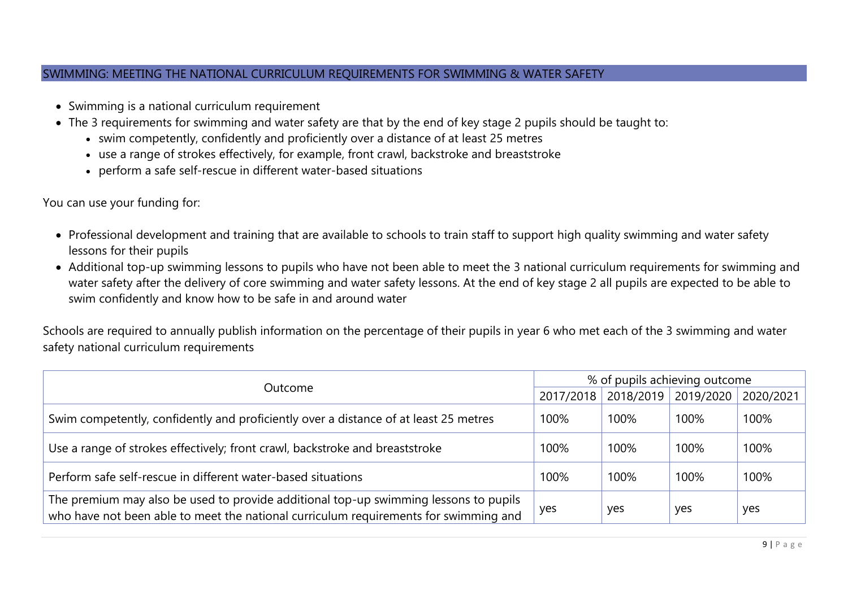#### SWIMMING: MEETING THE NATIONAL CURRICULUM REQUIREMENTS FOR SWIMMING & WATER SAFETY

- Swimming is a national curriculum requirement
- The 3 requirements for swimming and water safety are that by the end of key stage 2 pupils should be taught to:
	- swim competently, confidently and proficiently over a distance of at least 25 metres
	- use a range of strokes effectively, for example, front crawl, backstroke and breaststroke
	- perform a safe self-rescue in different water-based situations

You can use your funding for:

- Professional development and training that are available to schools to train staff to support high quality swimming and water safety lessons for their pupils
- Additional top-up swimming lessons to pupils who have not been able to meet the 3 national curriculum requirements for swimming and water safety after the delivery of core swimming and water safety lessons. At the end of key stage 2 all pupils are expected to be able to swim confidently and know how to be safe in and around water

Schools are required to annually publish information on the percentage of their pupils in year 6 who met each of the 3 swimming and water safety national curriculum requirements

| Outcome<br>2017/2018                                                                                                                                                         |      | % of pupils achieving outcome |           |           |  |
|------------------------------------------------------------------------------------------------------------------------------------------------------------------------------|------|-------------------------------|-----------|-----------|--|
|                                                                                                                                                                              |      | 2018/2019                     | 2019/2020 | 2020/2021 |  |
| Swim competently, confidently and proficiently over a distance of at least 25 metres                                                                                         | 100% | 100%                          | 100%      | 100%      |  |
| Use a range of strokes effectively; front crawl, backstroke and breaststroke                                                                                                 | 100% | 100%                          | 100%      | 100%      |  |
| Perform safe self-rescue in different water-based situations                                                                                                                 | 100% | 100%                          | 100%      | 100%      |  |
| The premium may also be used to provide additional top-up swimming lessons to pupils<br>who have not been able to meet the national curriculum requirements for swimming and | yes  | yes                           | yes       | yes       |  |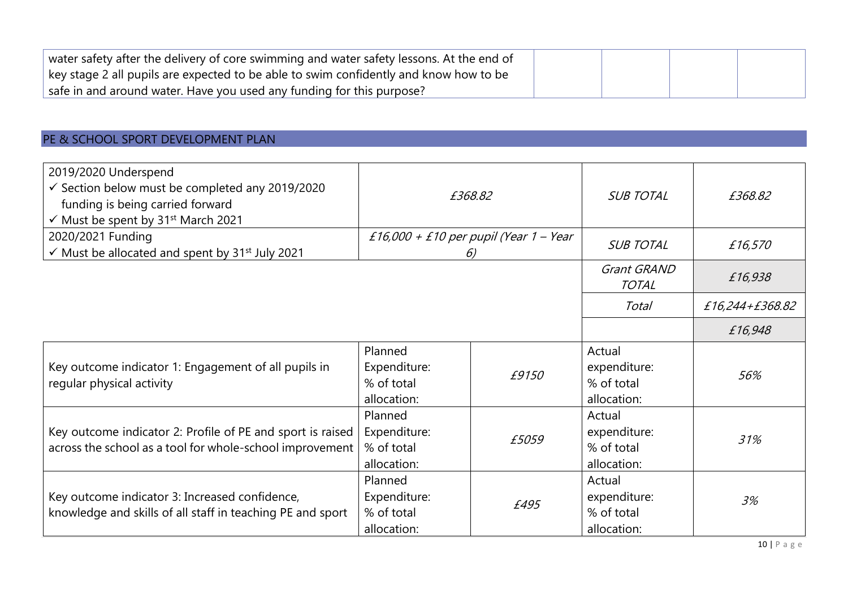| water safety after the delivery of core swimming and water safety lessons. At the end of |  |  |
|------------------------------------------------------------------------------------------|--|--|
| key stage 2 all pupils are expected to be able to swim confidently and know how to be    |  |  |
| safe in and around water. Have you used any funding for this purpose?                    |  |  |

# PE & SCHOOL SPORT DEVELOPMENT PLAN

| 2019/2020 Underspend<br>$\checkmark$ Section below must be completed any 2019/2020<br>funding is being carried forward<br>√ Must be spent by 31 <sup>st</sup> March 2021 |                                                      | £368.82                                      | <b>SUB TOTAL</b>                                    | £368.82         |
|--------------------------------------------------------------------------------------------------------------------------------------------------------------------------|------------------------------------------------------|----------------------------------------------|-----------------------------------------------------|-----------------|
| 2020/2021 Funding<br>$\checkmark$ Must be allocated and spent by 31 <sup>st</sup> July 2021                                                                              |                                                      | £16,000 + £10 per pupil (Year 1 – Year<br>6) | <b>SUB TOTAL</b>                                    | £16,570         |
|                                                                                                                                                                          |                                                      |                                              | Grant GRAND<br><b>TOTAL</b>                         | £16,938         |
|                                                                                                                                                                          |                                                      |                                              | Total                                               | £16,244+£368.82 |
|                                                                                                                                                                          |                                                      |                                              |                                                     | £16,948         |
| Key outcome indicator 1: Engagement of all pupils in<br>regular physical activity                                                                                        | Planned<br>Expenditure:<br>% of total<br>allocation: | £9150                                        | Actual<br>expenditure:<br>% of total<br>allocation: | 56%             |
| Key outcome indicator 2: Profile of PE and sport is raised<br>across the school as a tool for whole-school improvement                                                   | Planned<br>Expenditure:<br>% of total<br>allocation: | £5059                                        | Actual<br>expenditure:<br>% of total<br>allocation: | 31%             |
| Key outcome indicator 3: Increased confidence,<br>knowledge and skills of all staff in teaching PE and sport                                                             | Planned<br>Expenditure:<br>% of total<br>allocation: | £495                                         | Actual<br>expenditure:<br>% of total<br>allocation: | 3%              |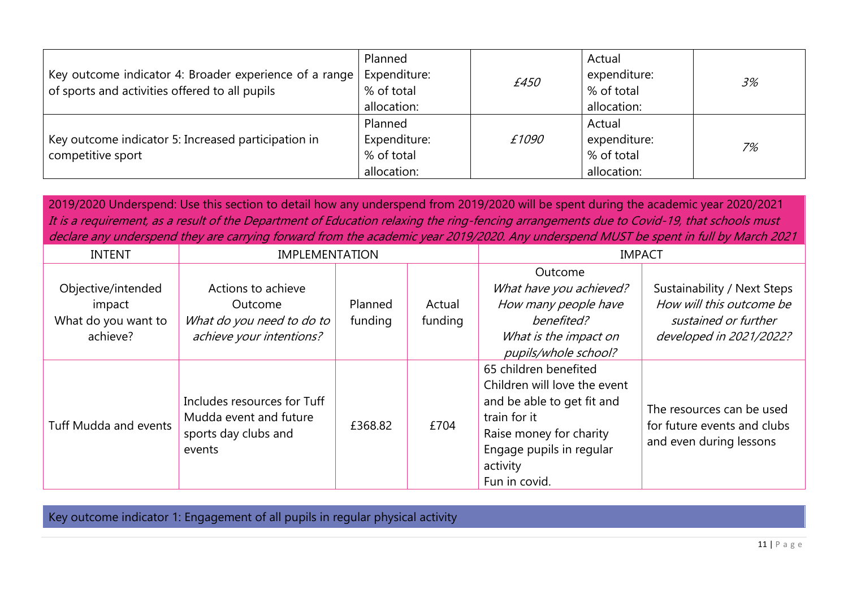| Key outcome indicator 4: Broader experience of a range   Expenditure:<br>of sports and activities offered to all pupils | Planned<br>% of total<br>allocation:                 | £450  | Actual<br>expenditure:<br>% of total<br>allocation: | 3% |
|-------------------------------------------------------------------------------------------------------------------------|------------------------------------------------------|-------|-----------------------------------------------------|----|
| Key outcome indicator 5: Increased participation in<br>competitive sport                                                | Planned<br>Expenditure:<br>% of total<br>allocation: | £1090 | Actual<br>expenditure:<br>% of total<br>allocation: | 7% |

2019/2020 Underspend: Use this section to detail how any underspend from 2019/2020 will be spent during the academic year 2020/2021 It is a requirement, as a result of the Department of Education relaxing the ring-fencing arrangements due to Covid-19, that schools must declare any underspend they are carrying forward from the academic year 2019/2020. Any underspend MUST be spent in full by March 2021

| <b>INTENT</b>         | <b>IMPLEMENTATION</b>                                                                    |         | <b>IMPACT</b> |                              |                             |
|-----------------------|------------------------------------------------------------------------------------------|---------|---------------|------------------------------|-----------------------------|
|                       |                                                                                          |         |               | Outcome                      |                             |
| Objective/intended    | Actions to achieve                                                                       |         |               | What have you achieved?      | Sustainability / Next Steps |
| impact                | Outcome                                                                                  | Planned | Actual        | How many people have         | How will this outcome be    |
| What do you want to   | What do you need to do to                                                                | funding | funding       | benefited?                   | sustained or further        |
| achieve?              | achieve your intentions?                                                                 |         |               | What is the impact on        | developed in 2021/2022?     |
|                       |                                                                                          |         |               | pupils/whole school?         |                             |
|                       |                                                                                          |         |               | 65 children benefited        |                             |
|                       |                                                                                          |         |               | Children will love the event |                             |
|                       | Includes resources for Tuff<br>Mudda event and future<br>£368.82<br>sports day clubs and |         | £704          | and be able to get fit and   | The resources can be used   |
| Tuff Mudda and events |                                                                                          |         |               | train for it                 | for future events and clubs |
|                       |                                                                                          |         |               | Raise money for charity      | and even during lessons     |
|                       | events                                                                                   |         |               | Engage pupils in regular     |                             |
|                       |                                                                                          |         |               | activity                     |                             |
|                       |                                                                                          |         |               | Fun in covid.                |                             |

Key outcome indicator 1: Engagement of all pupils in regular physical activity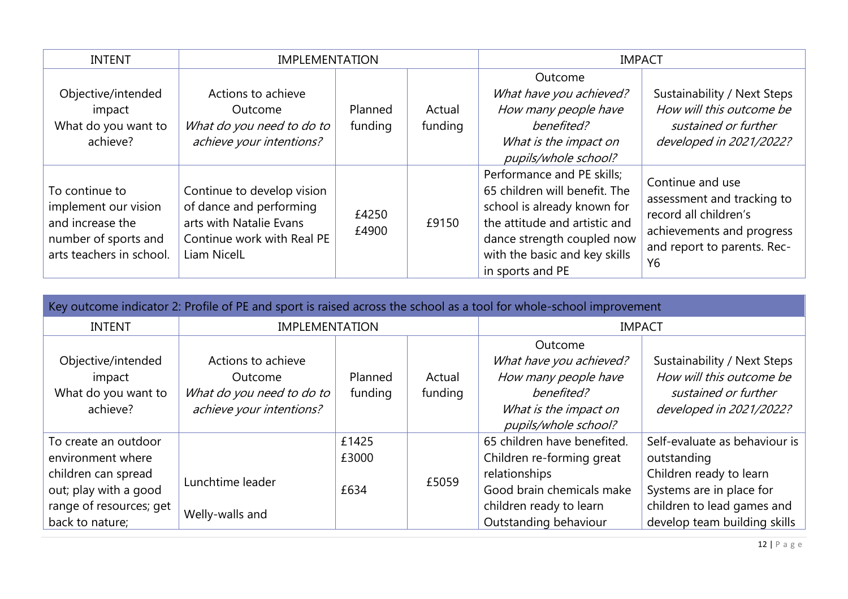| <b>INTENT</b>                                                                                                  | <b>IMPLEMENTATION</b>                                                                                                                |                    |                   | <b>IMPACT</b>                                                                                                                                                                                                  |                                                                                                                                           |  |
|----------------------------------------------------------------------------------------------------------------|--------------------------------------------------------------------------------------------------------------------------------------|--------------------|-------------------|----------------------------------------------------------------------------------------------------------------------------------------------------------------------------------------------------------------|-------------------------------------------------------------------------------------------------------------------------------------------|--|
| Objective/intended<br>impact<br>What do you want to<br>achieve?                                                | Actions to achieve<br>Outcome<br>What do you need to do to<br>achieve your intentions?                                               | Planned<br>funding | Actual<br>funding | Outcome<br>What have you achieved?<br>How many people have<br>benefited?<br>What is the impact on<br>pupils/whole school?                                                                                      | Sustainability / Next Steps<br>How will this outcome be<br>sustained or further<br>developed in 2021/2022?                                |  |
| To continue to<br>implement our vision<br>and increase the<br>number of sports and<br>arts teachers in school. | Continue to develop vision<br>of dance and performing<br>arts with Natalie Evans<br>Continue work with Real PE<br><b>Liam NicelL</b> | £4250<br>£4900     | £9150             | Performance and PE skills;<br>65 children will benefit. The<br>school is already known for<br>the attitude and artistic and<br>dance strength coupled now<br>with the basic and key skills<br>in sports and PE | Continue and use<br>assessment and tracking to<br>record all children's<br>achievements and progress<br>and report to parents. Rec-<br>Y6 |  |

| Key outcome indicator 2: Profile of PE and sport is raised across the school as a tool for whole-school improvement |                                      |         |                       |                             |                               |  |  |
|---------------------------------------------------------------------------------------------------------------------|--------------------------------------|---------|-----------------------|-----------------------------|-------------------------------|--|--|
| <b>INTENT</b>                                                                                                       | <b>IMPLEMENTATION</b>                |         |                       | <b>IMPACT</b>               |                               |  |  |
|                                                                                                                     |                                      |         |                       | Outcome                     |                               |  |  |
| Objective/intended                                                                                                  | Actions to achieve                   |         |                       | What have you achieved?     | Sustainability / Next Steps   |  |  |
| impact                                                                                                              | Outcome                              | Planned | Actual                | How many people have        | How will this outcome be      |  |  |
| What do you want to                                                                                                 | What do you need to do to<br>funding |         | funding               | benefited?                  | sustained or further          |  |  |
| achieve your intentions?<br>achieve?                                                                                |                                      |         | What is the impact on | developed in 2021/2022?     |                               |  |  |
|                                                                                                                     |                                      |         |                       | pupils/whole school?        |                               |  |  |
| To create an outdoor                                                                                                |                                      | £1425   |                       | 65 children have benefited. | Self-evaluate as behaviour is |  |  |
| environment where                                                                                                   |                                      | £3000   |                       | Children re-forming great   | outstanding                   |  |  |
| children can spread                                                                                                 | Lunchtime leader                     |         | £5059                 | relationships               | Children ready to learn       |  |  |
| out; play with a good                                                                                               |                                      | £634    |                       | Good brain chemicals make   | Systems are in place for      |  |  |
| range of resources; get                                                                                             | Welly-walls and                      |         |                       | children ready to learn     | children to lead games and    |  |  |
| back to nature;                                                                                                     |                                      |         |                       | Outstanding behaviour       | develop team building skills  |  |  |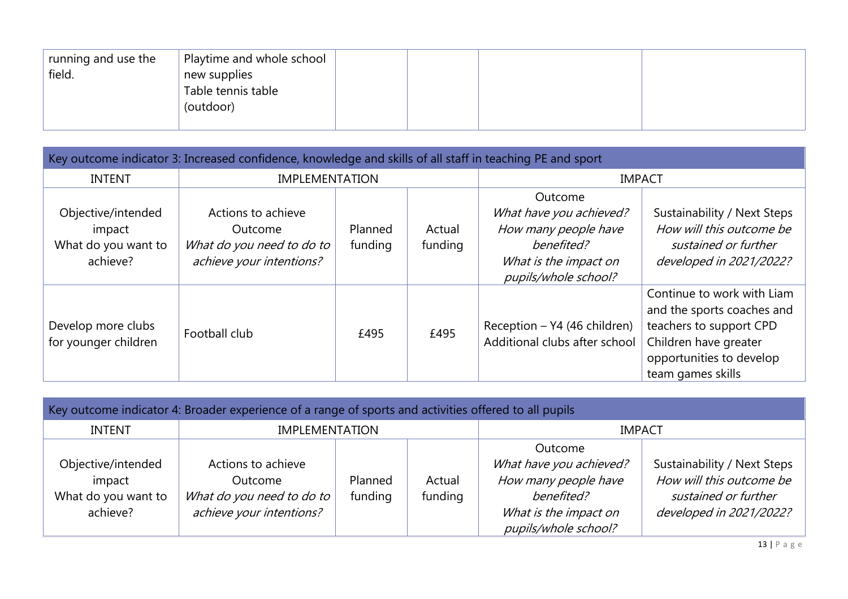| Playtime and whole school<br>running and use the<br>field.<br>new supplies<br>Table tennis table<br>(outdoor) |  |  |  |
|---------------------------------------------------------------------------------------------------------------|--|--|--|
|---------------------------------------------------------------------------------------------------------------|--|--|--|

| Key outcome indicator 3: Increased confidence, knowledge and skills of all staff in teaching PE and sport |                                                                                        |                    |                   |                                                                                                                           |                                                                                                                                                               |  |  |  |
|-----------------------------------------------------------------------------------------------------------|----------------------------------------------------------------------------------------|--------------------|-------------------|---------------------------------------------------------------------------------------------------------------------------|---------------------------------------------------------------------------------------------------------------------------------------------------------------|--|--|--|
| <b>INTENT</b>                                                                                             | <b>IMPLEMENTATION</b>                                                                  |                    |                   | <b>IMPACT</b>                                                                                                             |                                                                                                                                                               |  |  |  |
| Objective/intended<br>impact<br>What do you want to<br>achieve?                                           | Actions to achieve<br>Outcome<br>What do you need to do to<br>achieve your intentions? | Planned<br>funding | Actual<br>funding | Outcome<br>What have you achieved?<br>How many people have<br>benefited?<br>What is the impact on<br>pupils/whole school? | Sustainability / Next Steps<br>How will this outcome be<br>sustained or further<br>developed in 2021/2022?                                                    |  |  |  |
| Develop more clubs<br>for younger children                                                                | Football club                                                                          | £495               | £495              | Reception - Y4 (46 children)<br>Additional clubs after school                                                             | Continue to work with Liam<br>and the sports coaches and<br>teachers to support CPD<br>Children have greater<br>opportunities to develop<br>team games skills |  |  |  |

| Key outcome indicator 4: Broader experience of a range of sports and activities offered to all pupils |                                                                                        |                    |                   |                                                                                                                           |                                                                                                            |  |  |  |  |
|-------------------------------------------------------------------------------------------------------|----------------------------------------------------------------------------------------|--------------------|-------------------|---------------------------------------------------------------------------------------------------------------------------|------------------------------------------------------------------------------------------------------------|--|--|--|--|
| <b>INTENT</b>                                                                                         | <b>IMPLEMENTATION</b>                                                                  | <b>IMPACT</b>      |                   |                                                                                                                           |                                                                                                            |  |  |  |  |
| Objective/intended<br>impact<br>What do you want to<br>achieve?                                       | Actions to achieve<br>Outcome<br>What do you need to do to<br>achieve your intentions? | Planned<br>funding | Actual<br>funding | Outcome<br>What have you achieved?<br>How many people have<br>benefited?<br>What is the impact on<br>pupils/whole school? | Sustainability / Next Steps<br>How will this outcome be<br>sustained or further<br>developed in 2021/2022? |  |  |  |  |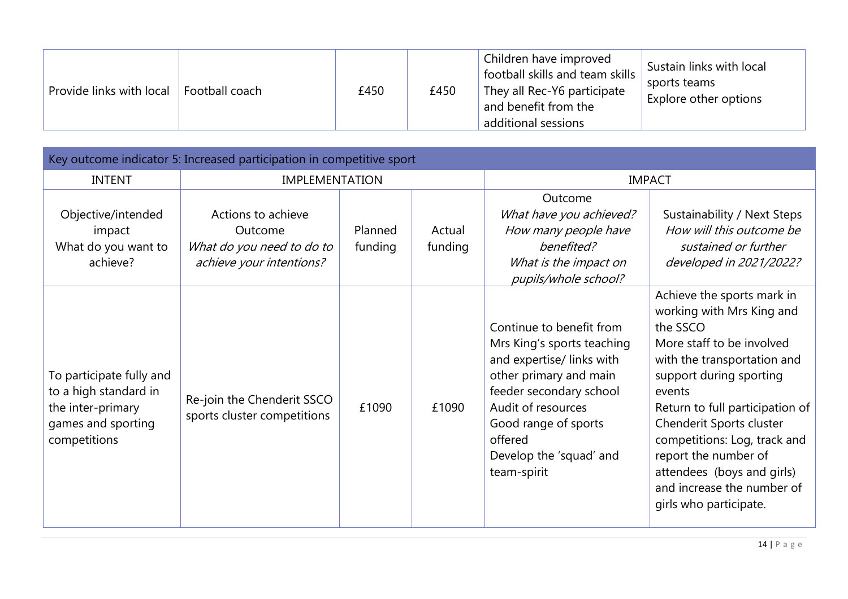| Provide links with local | Football coach | £450 | £450 | Children have improved<br>football skills and team skills<br>They all Rec-Y6 participate<br>and benefit from the<br>additional sessions | Sustain links with local<br>sports teams<br>Explore other options |
|--------------------------|----------------|------|------|-----------------------------------------------------------------------------------------------------------------------------------------|-------------------------------------------------------------------|
|--------------------------|----------------|------|------|-----------------------------------------------------------------------------------------------------------------------------------------|-------------------------------------------------------------------|

| Key outcome indicator 5: Increased participation in competitive sport                                        |                                                                                        |                    |                   |                                                                                                                                                                                                                                             |                                                                                                                                                                                                                                                                                                                                                                                   |  |  |  |
|--------------------------------------------------------------------------------------------------------------|----------------------------------------------------------------------------------------|--------------------|-------------------|---------------------------------------------------------------------------------------------------------------------------------------------------------------------------------------------------------------------------------------------|-----------------------------------------------------------------------------------------------------------------------------------------------------------------------------------------------------------------------------------------------------------------------------------------------------------------------------------------------------------------------------------|--|--|--|
| <b>INTENT</b>                                                                                                | <b>IMPLEMENTATION</b>                                                                  |                    |                   | <b>IMPACT</b>                                                                                                                                                                                                                               |                                                                                                                                                                                                                                                                                                                                                                                   |  |  |  |
| Objective/intended<br>impact<br>What do you want to<br>achieve?                                              | Actions to achieve<br>Outcome<br>What do you need to do to<br>achieve your intentions? | Planned<br>funding | Actual<br>funding | Outcome<br>What have you achieved?<br>How many people have<br>benefited?<br>What is the impact on<br>pupils/whole school?                                                                                                                   | Sustainability / Next Steps<br>How will this outcome be<br>sustained or further<br>developed in 2021/2022?                                                                                                                                                                                                                                                                        |  |  |  |
| To participate fully and<br>to a high standard in<br>the inter-primary<br>games and sporting<br>competitions | Re-join the Chenderit SSCO<br>sports cluster competitions                              | £1090              | £1090             | Continue to benefit from<br>Mrs King's sports teaching<br>and expertise/ links with<br>other primary and main<br>feeder secondary school<br>Audit of resources<br>Good range of sports<br>offered<br>Develop the 'squad' and<br>team-spirit | Achieve the sports mark in<br>working with Mrs King and<br>the SSCO<br>More staff to be involved<br>with the transportation and<br>support during sporting<br>events<br>Return to full participation of<br>Chenderit Sports cluster<br>competitions: Log, track and<br>report the number of<br>attendees (boys and girls)<br>and increase the number of<br>girls who participate. |  |  |  |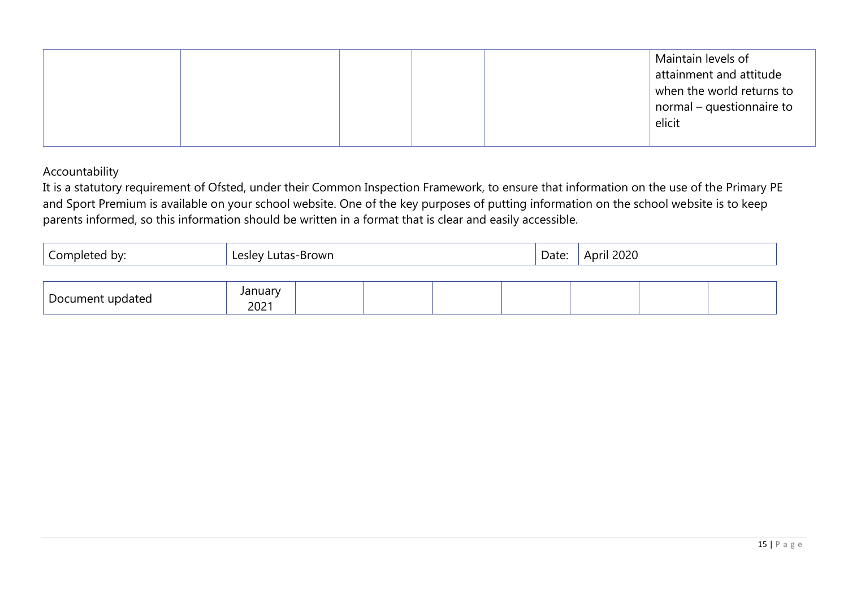|  |  |  | Maintain levels of<br>attainment and attitude<br>when the world returns to<br>normal – questionnaire to<br>elicit |
|--|--|--|-------------------------------------------------------------------------------------------------------------------|
|--|--|--|-------------------------------------------------------------------------------------------------------------------|

#### Accountability

It is a statutory requirement of Ofsted, under their Common Inspection Framework, to ensure that information on the use of the Primary PE and Sport Premium is available on your school website. One of the key purposes of putting information on the school website is to keep parents informed, so this information should be written in a format that is clear and easily accessible.

| Completed by:    | Lesley Lutas-Brown |  |  |  | Date: | April 2020 |  |
|------------------|--------------------|--|--|--|-------|------------|--|
|                  |                    |  |  |  |       |            |  |
| Document updated | January<br>2021    |  |  |  |       |            |  |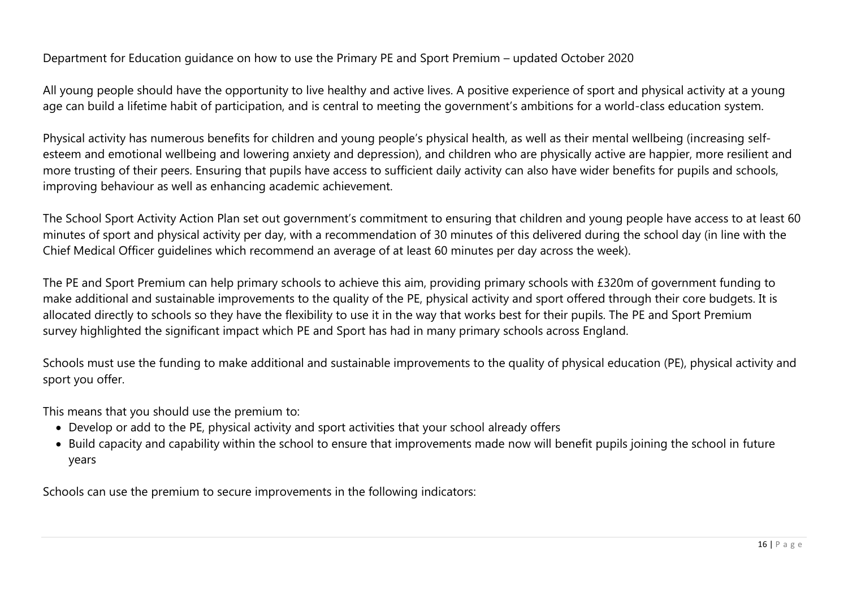#### Department for Education guidance on how to use the Primary PE and Sport Premium – updated October 2020

All young people should have the opportunity to live healthy and active lives. A positive experience of sport and physical activity at a young age can build a lifetime habit of participation, and is central to meeting the government's ambitions for a world-class education system.

Physical activity has numerous benefits for children and young people's physical health, as well as their mental wellbeing (increasing selfesteem and emotional wellbeing and lowering anxiety and depression), and children who are physically active are happier, more resilient and more trusting of their peers. Ensuring that pupils have access to sufficient daily activity can also have wider benefits for pupils and schools, improving behaviour as well as enhancing academic achievement.

The School Sport Activity Action Plan set out government's commitment to ensuring that children and young people have access to at least 60 minutes of sport and physical activity per day, with a recommendation of 30 minutes of this delivered during the school day (in line with the Chief Medical Officer guidelines which recommend an average of at least 60 minutes per day across the week).

The PE and Sport Premium can help primary schools to achieve this aim, providing primary schools with £320m of government funding to make additional and sustainable improvements to the quality of the PE, physical activity and sport offered through their core budgets. It is allocated directly to schools so they have the flexibility to use it in the way that works best for their pupils. The PE and Sport Premium survey highlighted the significant impact which PE and Sport has had in many primary schools across England.

Schools must use the funding to make additional and sustainable improvements to the quality of physical education (PE), physical activity and sport you offer.

This means that you should use the premium to:

- Develop or add to the PE, physical activity and sport activities that your school already offers
- Build capacity and capability within the school to ensure that improvements made now will benefit pupils joining the school in future years

Schools can use the premium to secure improvements in the following indicators: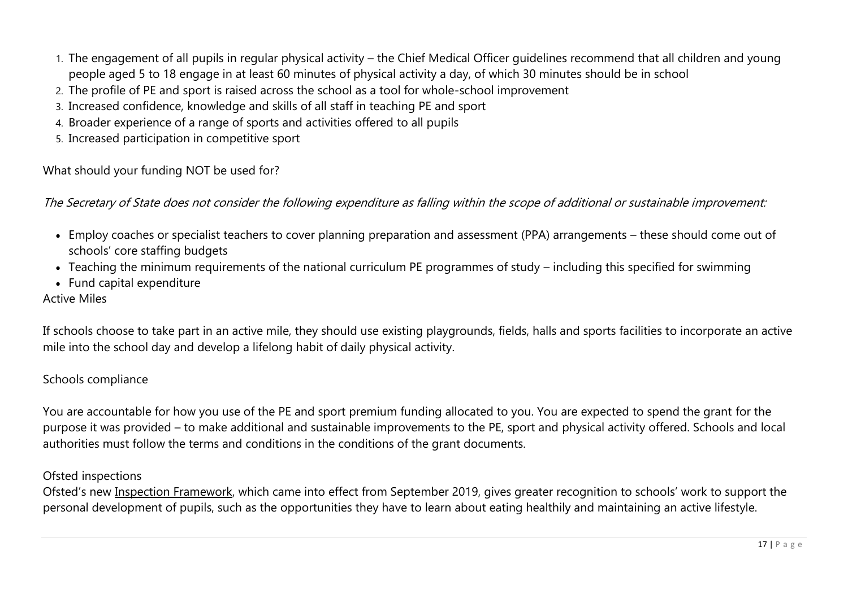- 1. The engagement of all pupils in regular physical activity the Chief Medical Officer guidelines recommend that all children and young people aged 5 to 18 engage in at least 60 minutes of physical activity a day, of which 30 minutes should be in school
- 2. The profile of PE and sport is raised across the school as a tool for whole-school improvement
- 3. Increased confidence, knowledge and skills of all staff in teaching PE and sport
- 4. Broader experience of a range of sports and activities offered to all pupils
- 5. Increased participation in competitive sport

What should your funding NOT be used for?

The Secretary of State does not consider the following expenditure as falling within the scope of additional or sustainable improvement:

- Employ coaches or specialist teachers to cover planning preparation and assessment (PPA) arrangements these should come out of schools' core staffing budgets
- Teaching the minimum requirements of the national curriculum PE programmes of study including this specified for swimming
- Fund capital expenditure

#### Active Miles

If schools choose to take part in an active mile, they should use existing playgrounds, fields, halls and sports facilities to incorporate an active mile into the school day and develop a lifelong habit of daily physical activity.

#### Schools compliance

You are accountable for how you use of the PE and sport premium funding allocated to you. You are expected to spend the grant for the purpose it was provided – to make additional and sustainable improvements to the PE, sport and physical activity offered. Schools and local authorities must follow the terms and conditions in the conditions of the grant documents.

#### Ofsted inspections

Ofsted's new Inspection [Framework](https://assets.publishing.service.gov.uk/government/uploads/system/uploads/attachment_data/file/801429/Education_inspection_framework.pdf), which came into effect from September 2019, gives greater recognition to schools' work to support the personal development of pupils, such as the opportunities they have to learn about eating healthily and maintaining an active lifestyle.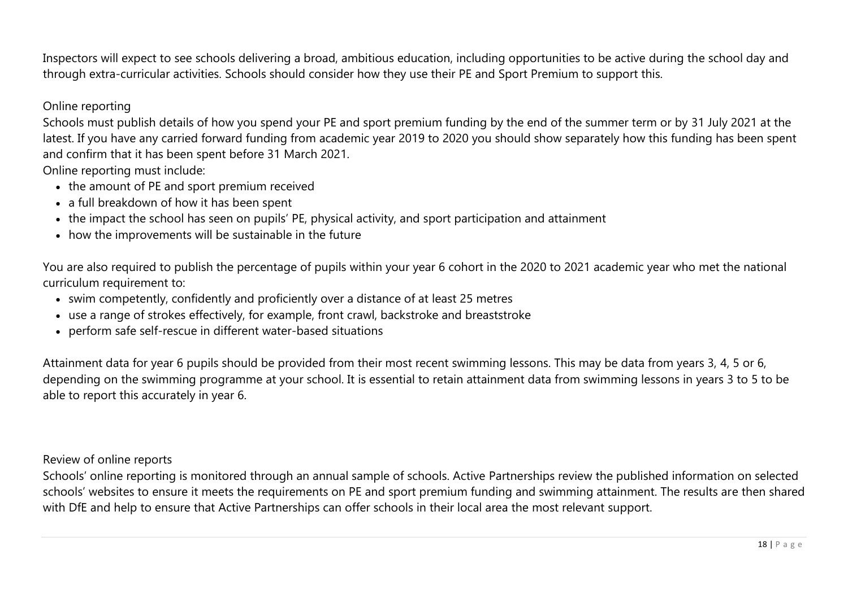Inspectors will expect to see schools delivering a broad, ambitious education, including opportunities to be active during the school day and through extra-curricular activities. Schools should consider how they use their PE and Sport Premium to support this.

#### Online reporting

Schools must publish details of how you spend your PE and sport premium funding by the end of the summer term or by 31 July 2021 at the latest. If you have any carried forward funding from academic year 2019 to 2020 you should show separately how this funding has been spent and confirm that it has been spent before 31 March 2021.

Online reporting must include:

- the amount of PE and sport premium received
- a full breakdown of how it has been spent
- the impact the school has seen on pupils' PE, physical activity, and sport participation and attainment
- how the improvements will be sustainable in the future

You are also required to publish the percentage of pupils within your year 6 cohort in the 2020 to 2021 academic year who met the national curriculum requirement to:

- swim competently, confidently and proficiently over a distance of at least 25 metres
- use a range of strokes effectively, for example, front crawl, backstroke and breaststroke
- perform safe self-rescue in different water-based situations

Attainment data for year 6 pupils should be provided from their most recent swimming lessons. This may be data from years 3, 4, 5 or 6, depending on the swimming programme at your school. It is essential to retain attainment data from swimming lessons in years 3 to 5 to be able to report this accurately in year 6.

Review of online reports

Schools' online reporting is monitored through an annual sample of schools. Active Partnerships review the published information on selected schools' websites to ensure it meets the requirements on PE and sport premium funding and swimming attainment. The results are then shared with DfE and help to ensure that Active Partnerships can offer schools in their local area the most relevant support.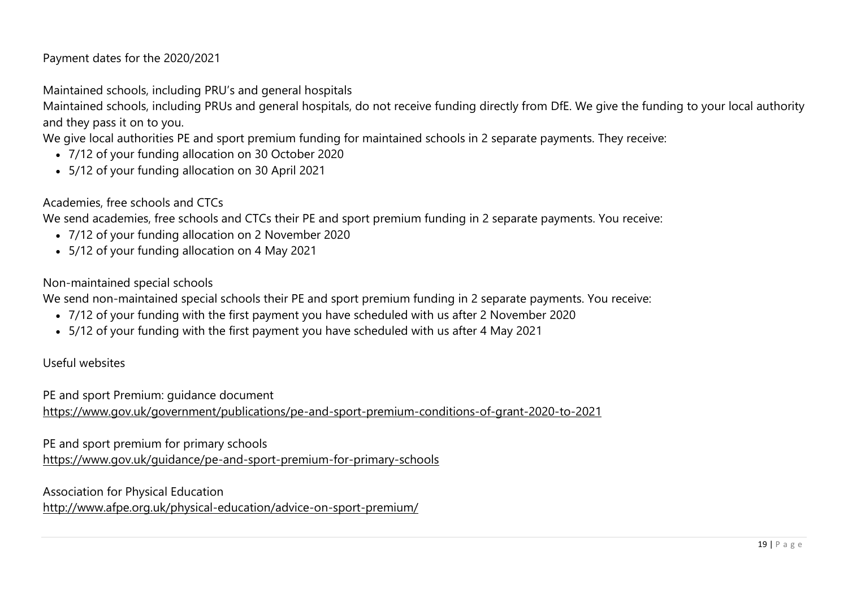#### Payment dates for the 2020/2021

Maintained schools, including PRU's and general hospitals

Maintained schools, including PRUs and general hospitals, do not receive funding directly from DfE. We give the funding to your local authority and they pass it on to you.

We give local authorities PE and sport premium funding for maintained schools in 2 separate payments. They receive:

- 7/12 of your funding allocation on 30 October 2020
- 5/12 of your funding allocation on 30 April 2021

Academies, free schools and CTCs

We send academies, free schools and CTCs their PE and sport premium funding in 2 separate payments. You receive:

- 7/12 of your funding allocation on 2 November 2020
- 5/12 of your funding allocation on 4 May 2021

Non-maintained special schools

We send non-maintained special schools their PE and sport premium funding in 2 separate payments. You receive:

- 7/12 of your funding with the first payment you have scheduled with us after 2 November 2020
- 5/12 of your funding with the first payment you have scheduled with us after 4 May 2021

#### Useful websites

PE and sport Premium: guidance document

<https://www.gov.uk/government/publications/pe-and-sport-premium-conditions-of-grant-2020-to-2021>

PE and sport premium for primary schools

<https://www.gov.uk/guidance/pe-and-sport-premium-for-primary-schools>

Association for Physical Education

<http://www.afpe.org.uk/physical-education/advice-on-sport-premium/>